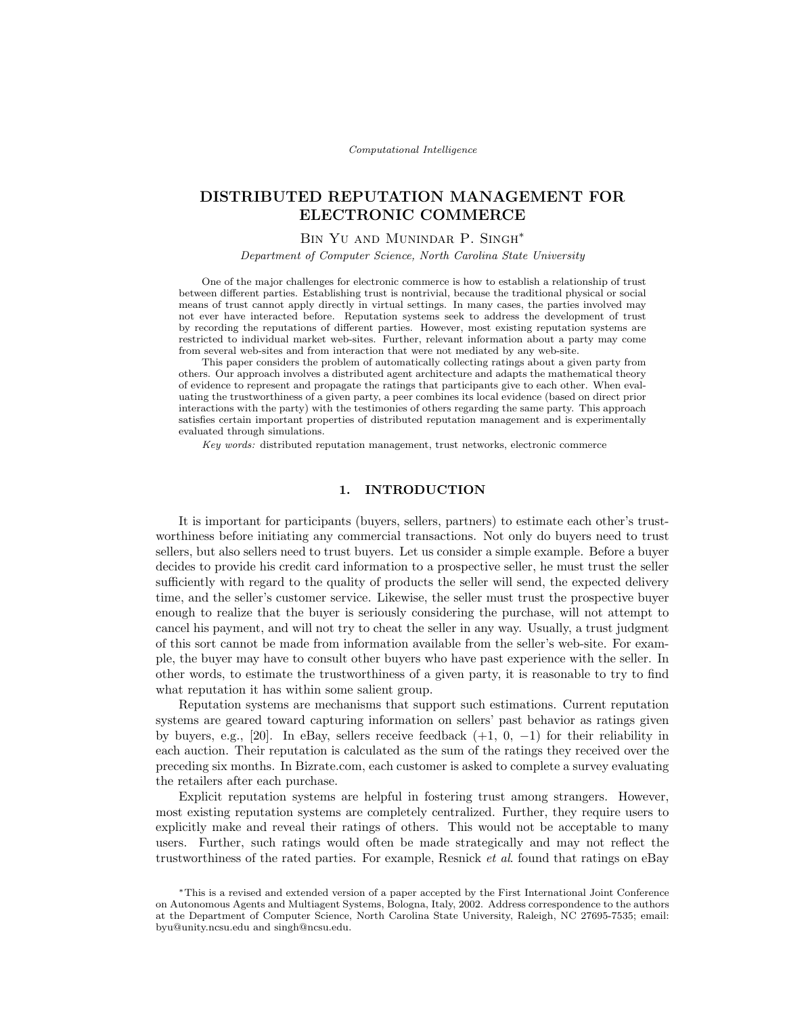Computational Intelligence

# DISTRIBUTED REPUTATION MANAGEMENT FOR ELECTRONIC COMMERCE

#### Bin Yu and Munindar P. Singh<sup>∗</sup>

Department of Computer Science, North Carolina State University

One of the major challenges for electronic commerce is how to establish a relationship of trust between different parties. Establishing trust is nontrivial, because the traditional physical or social means of trust cannot apply directly in virtual settings. In many cases, the parties involved may not ever have interacted before. Reputation systems seek to address the development of trust by recording the reputations of different parties. However, most existing reputation systems are restricted to individual market web-sites. Further, relevant information about a party may come from several web-sites and from interaction that were not mediated by any web-site.

This paper considers the problem of automatically collecting ratings about a given party from others. Our approach involves a distributed agent architecture and adapts the mathematical theory of evidence to represent and propagate the ratings that participants give to each other. When evaluating the trustworthiness of a given party, a peer combines its local evidence (based on direct prior interactions with the party) with the testimonies of others regarding the same party. This approach satisfies certain important properties of distributed reputation management and is experimentally evaluated through simulations.

Key words: distributed reputation management, trust networks, electronic commerce

## 1. INTRODUCTION

It is important for participants (buyers, sellers, partners) to estimate each other's trustworthiness before initiating any commercial transactions. Not only do buyers need to trust sellers, but also sellers need to trust buyers. Let us consider a simple example. Before a buyer decides to provide his credit card information to a prospective seller, he must trust the seller sufficiently with regard to the quality of products the seller will send, the expected delivery time, and the seller's customer service. Likewise, the seller must trust the prospective buyer enough to realize that the buyer is seriously considering the purchase, will not attempt to cancel his payment, and will not try to cheat the seller in any way. Usually, a trust judgment of this sort cannot be made from information available from the seller's web-site. For example, the buyer may have to consult other buyers who have past experience with the seller. In other words, to estimate the trustworthiness of a given party, it is reasonable to try to find what reputation it has within some salient group.

Reputation systems are mechanisms that support such estimations. Current reputation systems are geared toward capturing information on sellers' past behavior as ratings given by buyers, e.g., [20]. In eBay, sellers receive feedback  $(+1, 0, -1)$  for their reliability in each auction. Their reputation is calculated as the sum of the ratings they received over the preceding six months. In Bizrate.com, each customer is asked to complete a survey evaluating the retailers after each purchase.

Explicit reputation systems are helpful in fostering trust among strangers. However, most existing reputation systems are completely centralized. Further, they require users to explicitly make and reveal their ratings of others. This would not be acceptable to many users. Further, such ratings would often be made strategically and may not reflect the trustworthiness of the rated parties. For example, Resnick et al. found that ratings on eBay

<sup>∗</sup>This is a revised and extended version of a paper accepted by the First International Joint Conference on Autonomous Agents and Multiagent Systems, Bologna, Italy, 2002. Address correspondence to the authors at the Department of Computer Science, North Carolina State University, Raleigh, NC 27695-7535; email: byu@unity.ncsu.edu and singh@ncsu.edu.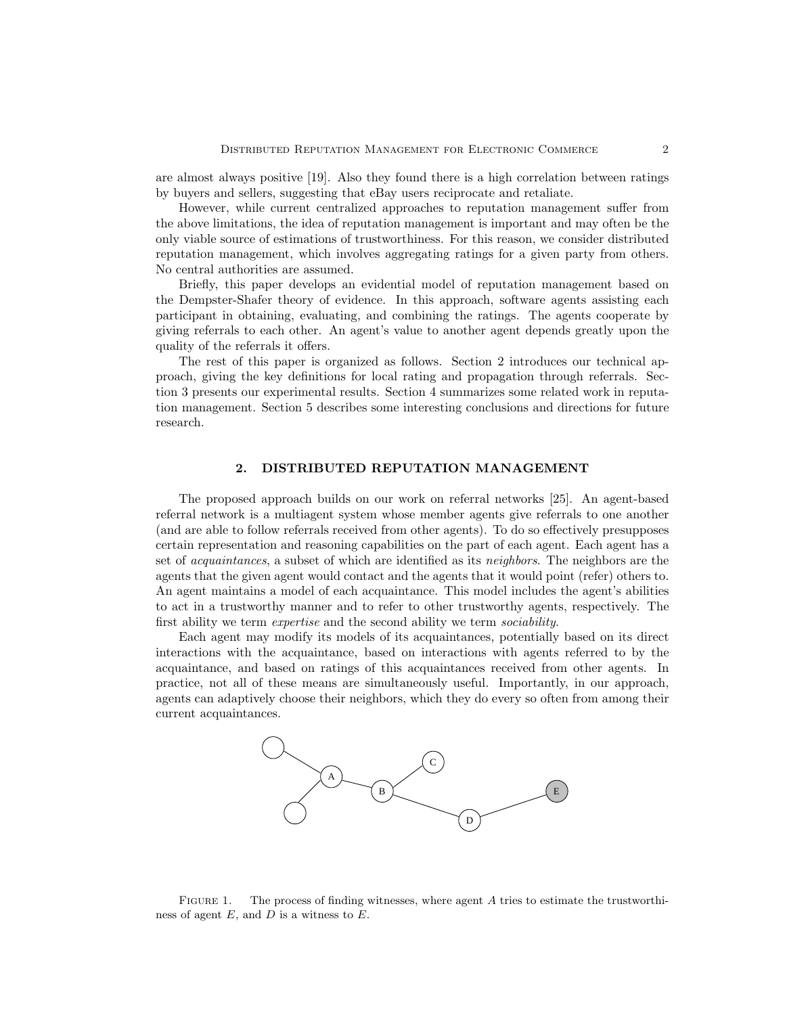are almost always positive [19]. Also they found there is a high correlation between ratings by buyers and sellers, suggesting that eBay users reciprocate and retaliate.

However, while current centralized approaches to reputation management suffer from the above limitations, the idea of reputation management is important and may often be the only viable source of estimations of trustworthiness. For this reason, we consider distributed reputation management, which involves aggregating ratings for a given party from others. No central authorities are assumed.

Briefly, this paper develops an evidential model of reputation management based on the Dempster-Shafer theory of evidence. In this approach, software agents assisting each participant in obtaining, evaluating, and combining the ratings. The agents cooperate by giving referrals to each other. An agent's value to another agent depends greatly upon the quality of the referrals it offers.

The rest of this paper is organized as follows. Section 2 introduces our technical approach, giving the key definitions for local rating and propagation through referrals. Section 3 presents our experimental results. Section 4 summarizes some related work in reputation management. Section 5 describes some interesting conclusions and directions for future research.

## 2. DISTRIBUTED REPUTATION MANAGEMENT

The proposed approach builds on our work on referral networks [25]. An agent-based referral network is a multiagent system whose member agents give referrals to one another (and are able to follow referrals received from other agents). To do so effectively presupposes certain representation and reasoning capabilities on the part of each agent. Each agent has a set of acquaintances, a subset of which are identified as its neighbors. The neighbors are the agents that the given agent would contact and the agents that it would point (refer) others to. An agent maintains a model of each acquaintance. This model includes the agent's abilities to act in a trustworthy manner and to refer to other trustworthy agents, respectively. The first ability we term *expertise* and the second ability we term *sociability*.

Each agent may modify its models of its acquaintances, potentially based on its direct interactions with the acquaintance, based on interactions with agents referred to by the acquaintance, and based on ratings of this acquaintances received from other agents. In practice, not all of these means are simultaneously useful. Importantly, in our approach, agents can adaptively choose their neighbors, which they do every so often from among their current acquaintances.



FIGURE 1. The process of finding witnesses, where agent A tries to estimate the trustworthiness of agent  $E$ , and  $D$  is a witness to  $E$ .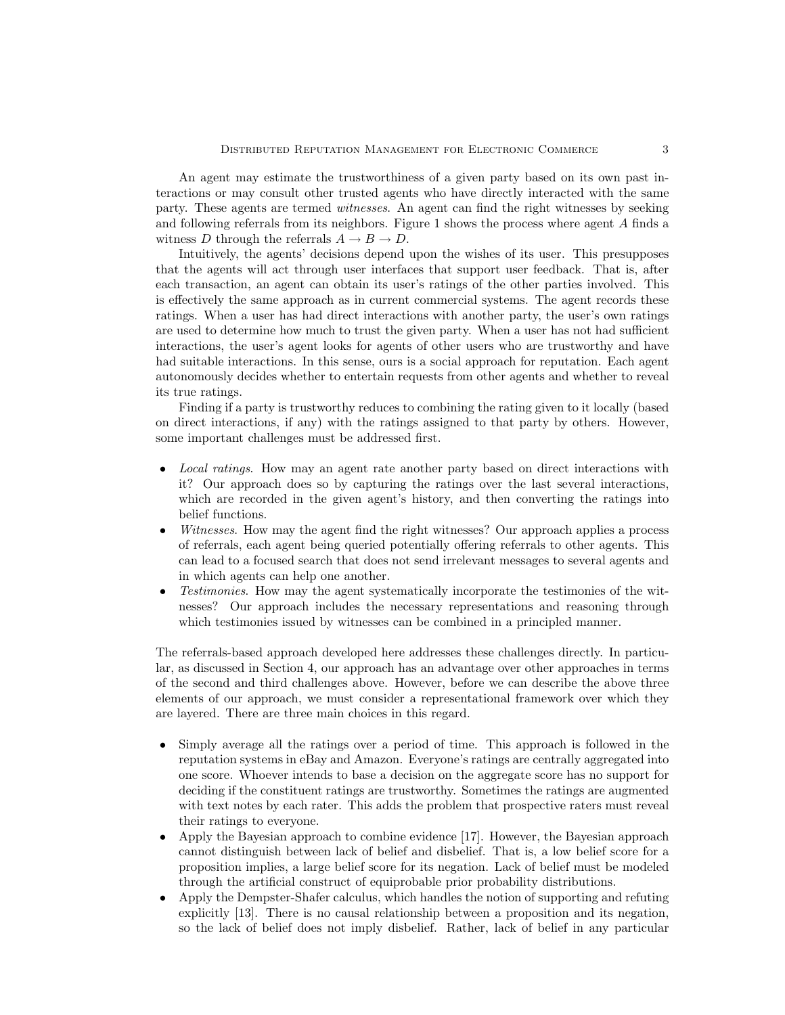An agent may estimate the trustworthiness of a given party based on its own past interactions or may consult other trusted agents who have directly interacted with the same party. These agents are termed witnesses. An agent can find the right witnesses by seeking and following referrals from its neighbors. Figure 1 shows the process where agent A finds a witness D through the referrals  $A \rightarrow B \rightarrow D$ .

Intuitively, the agents' decisions depend upon the wishes of its user. This presupposes that the agents will act through user interfaces that support user feedback. That is, after each transaction, an agent can obtain its user's ratings of the other parties involved. This is effectively the same approach as in current commercial systems. The agent records these ratings. When a user has had direct interactions with another party, the user's own ratings are used to determine how much to trust the given party. When a user has not had sufficient interactions, the user's agent looks for agents of other users who are trustworthy and have had suitable interactions. In this sense, ours is a social approach for reputation. Each agent autonomously decides whether to entertain requests from other agents and whether to reveal its true ratings.

Finding if a party is trustworthy reduces to combining the rating given to it locally (based on direct interactions, if any) with the ratings assigned to that party by others. However, some important challenges must be addressed first.

- Local ratings. How may an agent rate another party based on direct interactions with it? Our approach does so by capturing the ratings over the last several interactions, which are recorded in the given agent's history, and then converting the ratings into belief functions.
- Witnesses. How may the agent find the right witnesses? Our approach applies a process of referrals, each agent being queried potentially offering referrals to other agents. This can lead to a focused search that does not send irrelevant messages to several agents and in which agents can help one another.
- Testimonies. How may the agent systematically incorporate the testimonies of the witnesses? Our approach includes the necessary representations and reasoning through which testimonies issued by witnesses can be combined in a principled manner.

The referrals-based approach developed here addresses these challenges directly. In particular, as discussed in Section 4, our approach has an advantage over other approaches in terms of the second and third challenges above. However, before we can describe the above three elements of our approach, we must consider a representational framework over which they are layered. There are three main choices in this regard.

- Simply average all the ratings over a period of time. This approach is followed in the reputation systems in eBay and Amazon. Everyone's ratings are centrally aggregated into one score. Whoever intends to base a decision on the aggregate score has no support for deciding if the constituent ratings are trustworthy. Sometimes the ratings are augmented with text notes by each rater. This adds the problem that prospective raters must reveal their ratings to everyone.
- Apply the Bayesian approach to combine evidence [17]. However, the Bayesian approach cannot distinguish between lack of belief and disbelief. That is, a low belief score for a proposition implies, a large belief score for its negation. Lack of belief must be modeled through the artificial construct of equiprobable prior probability distributions.
- Apply the Dempster-Shafer calculus, which handles the notion of supporting and refuting explicitly [13]. There is no causal relationship between a proposition and its negation, so the lack of belief does not imply disbelief. Rather, lack of belief in any particular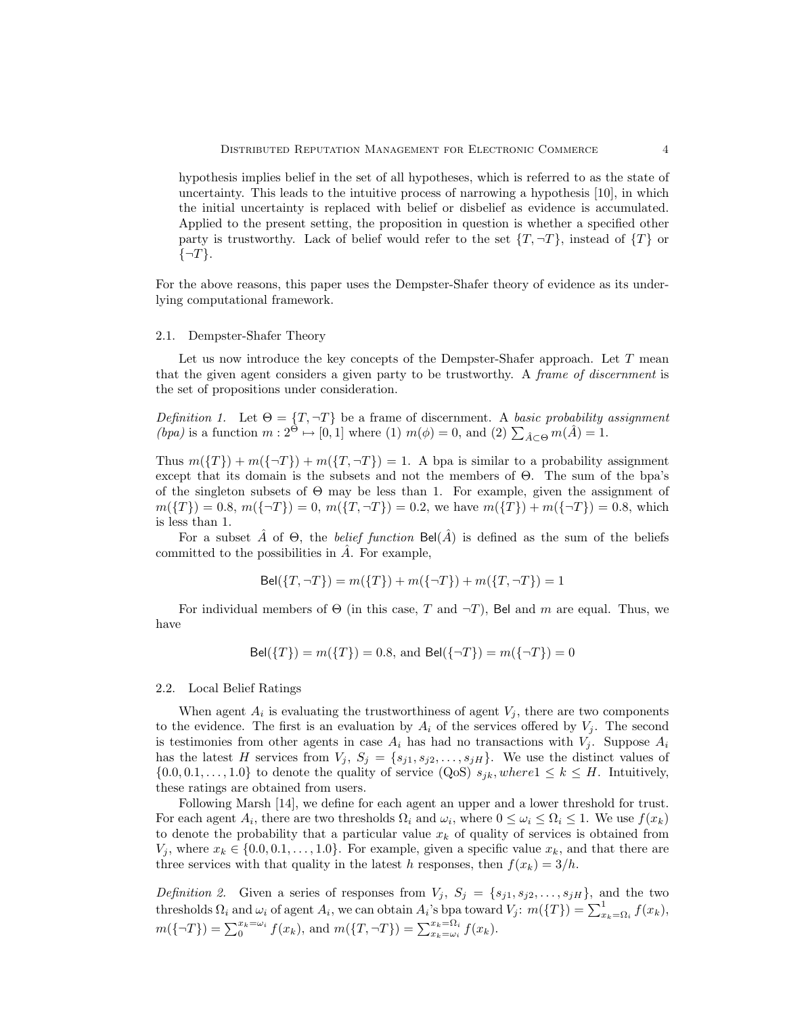hypothesis implies belief in the set of all hypotheses, which is referred to as the state of uncertainty. This leads to the intuitive process of narrowing a hypothesis [10], in which the initial uncertainty is replaced with belief or disbelief as evidence is accumulated. Applied to the present setting, the proposition in question is whether a specified other party is trustworthy. Lack of belief would refer to the set  $\{T, \neg T\}$ , instead of  $\{T\}$  or  $\{\neg T\}.$ 

For the above reasons, this paper uses the Dempster-Shafer theory of evidence as its underlying computational framework.

## 2.1. Dempster-Shafer Theory

Let us now introduce the key concepts of the Dempster-Shafer approach. Let T mean that the given agent considers a given party to be trustworthy. A frame of discernment is the set of propositions under consideration.

Definition 1. Let  $\Theta = \{T, \neg T\}$  be a frame of discernment. A basic probability assignment *Definition 1*. Let  $\Theta = \{1, \neg 1\}$  be a frame of discertificantly  $(bpa)$  is a function  $m: 2^{\Theta} \mapsto [0, 1]$  where  $(1)$   $m(\phi) = 0$ , and  $(2)$   $\sum_{\hat{A} \subset \Theta} m(\hat{A}) = 1$ .

Thus  $m({T}) + m({T, \neg T}) + m({T, \neg T}) = 1$ . A bpa is similar to a probability assignment except that its domain is the subsets and not the members of Θ. The sum of the bpa's of the singleton subsets of  $\Theta$  may be less than 1. For example, given the assignment of  $m({T}) = 0.8, m({T}) = 0, m({T}, T) = 0.2$ , we have  $m({T}) + m({T}) = 0.8$ , which is less than 1.

For a subset  $\hat{A}$  of  $\Theta$ , the *belief function*  $Bel(\hat{A})$  is defined as the sum of the beliefs committed to the possibilities in  $A$ . For example,

$$
Bel({T, \neg T}) = m({T}) + m({\neg T}) + m({T, \neg T}) = 1
$$

For individual members of  $\Theta$  (in this case, T and  $\neg T$ ), Bel and m are equal. Thus, we have

$$
Bel({T}) = m({T}) = 0.8, and Bel({-T}) = m({-T}) = 0
$$

#### 2.2. Local Belief Ratings

When agent  $A_i$  is evaluating the trustworthiness of agent  $V_j$ , there are two components to the evidence. The first is an evaluation by  $A_i$  of the services offered by  $V_j$ . The second is testimonies from other agents in case  $A_i$  has had no transactions with  $V_i$ . Suppose  $A_i$ has the latest H services from  $V_j$ ,  $S_j = \{s_{j1}, s_{j2}, \ldots, s_{jH}\}\.$  We use the distinct values of  $\{0.0, 0.1, \ldots, 1.0\}$  to denote the quality of service  $(QoS)$   $s_{jk}$ , where  $1 \leq k \leq H$ . Intuitively, these ratings are obtained from users.

Following Marsh [14], we define for each agent an upper and a lower threshold for trust. For each agent  $A_i$ , there are two thresholds  $\Omega_i$  and  $\omega_i$ , where  $0 \leq \omega_i \leq \Omega_i \leq 1$ . We use  $f(x_k)$ to denote the probability that a particular value  $x<sub>k</sub>$  of quality of services is obtained from  $V_j$ , where  $x_k \in \{0.0, 0.1, \ldots, 1.0\}$ . For example, given a specific value  $x_k$ , and that there are three services with that quality in the latest h responses, then  $f(x_k) = 3/h$ .

Definition 2. Given a series of responses from  $V_j$ ,  $S_j = \{s_{j1}, s_{j2}, \ldots, s_{jH}\}\$ , and the two *Definition* 2. Given a series of responses from  $v_j$ ,  $S_j = \{s_{j1}, s_{j2},...,s_{jH}f\}$ , and the two<br>thresholds  $Ω_i$  and  $ω_i$  of agent  $A_i$ , we can obtain  $A_i$ 's bpa toward  $V_j$ :  $m({T}) = \sum_{k}^{1} z_{k} = Ω_i f(x_k)$ ,  $m(\{\neg T\}) = \sum_{0}^{x_k=\omega_i} f(x_k)$ , and  $m(\{T, \neg T\}) = \sum_{x_k=\omega_i}^{x_k=\Omega_i} f(x_k)$ .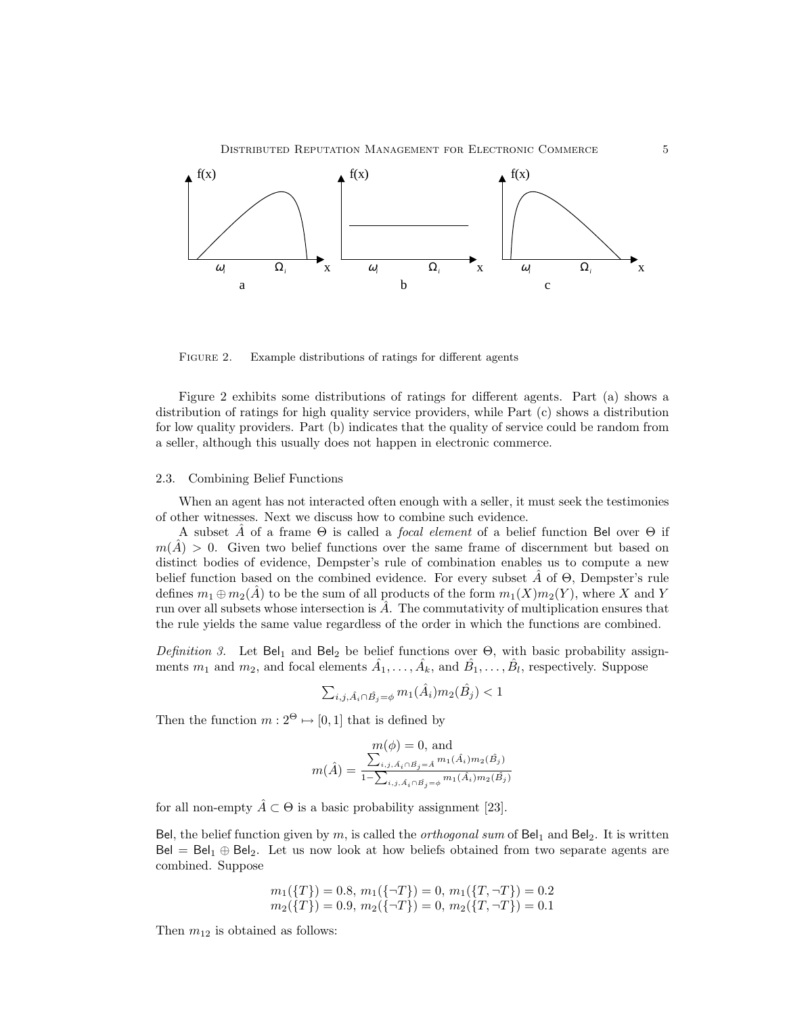

FIGURE 2. Example distributions of ratings for different agents

Figure 2 exhibits some distributions of ratings for different agents. Part (a) shows a distribution of ratings for high quality service providers, while Part (c) shows a distribution for low quality providers. Part (b) indicates that the quality of service could be random from a seller, although this usually does not happen in electronic commerce.

#### 2.3. Combining Belief Functions

When an agent has not interacted often enough with a seller, it must seek the testimonies of other witnesses. Next we discuss how to combine such evidence.

A subset A of a frame  $\Theta$  is called a *focal element* of a belief function Bel over  $\Theta$  if  $m(A) > 0$ . Given two belief functions over the same frame of discernment but based on distinct bodies of evidence, Dempster's rule of combination enables us to compute a new belief function based on the combined evidence. For every subset  $\tilde{A}$  of  $\Theta$ , Dempster's rule defines  $m_1 \oplus m_2(A)$  to be the sum of all products of the form  $m_1(X)m_2(Y)$ , where X and Y run over all subsets whose intersection is  $\ddot{A}$ . The commutativity of multiplication ensures that the rule yields the same value regardless of the order in which the functions are combined.

Definition 3. Let Bel<sub>1</sub> and Bel<sub>2</sub> be belief functions over  $\Theta$ , with basic probability assignments  $m_1$  and  $m_2$ , and focal elements  $\hat{A}_1, \ldots, \hat{A}_k$ , and  $\hat{B}_1, \ldots, \hat{B}_l$ , respectively. Suppose

$$
\sum_{i,j,\hat{A}_i \cap \hat{B}_j = \phi} m_1(\hat{A}_i) m_2(\hat{B}_j) < 1
$$

Then the function  $m: 2^{\Theta} \mapsto [0, 1]$  that is defined by

$$
m(\hat{A}) = \frac{\sum_{i,j, \hat{A}_i \cap \hat{B}_j = \hat{A}} m_1(\hat{A}_i) m_2(\hat{B}_j)}{1 - \sum_{i,j, \hat{A}_i \cap \hat{B}_j = \phi} m_1(\hat{A}_i) m_2(\hat{B}_j)}
$$

for all non-empty  $\hat{A} \subset \Theta$  is a basic probability assignment [23].

Bel, the belief function given by m, is called the *orthogonal sum* of Bel<sub>1</sub> and Bel<sub>2</sub>. It is written  $Bel = Bel_1 \oplus Bel_2$ . Let us now look at how beliefs obtained from two separate agents are combined. Suppose

$$
m_1({T}) = 0.8, m_1({\neg T}) = 0, m_1({T}, \neg T) = 0.2
$$
  

$$
m_2({T}) = 0.9, m_2({\neg T}) = 0, m_2({T}, \neg T) = 0.1
$$

Then  $m_{12}$  is obtained as follows: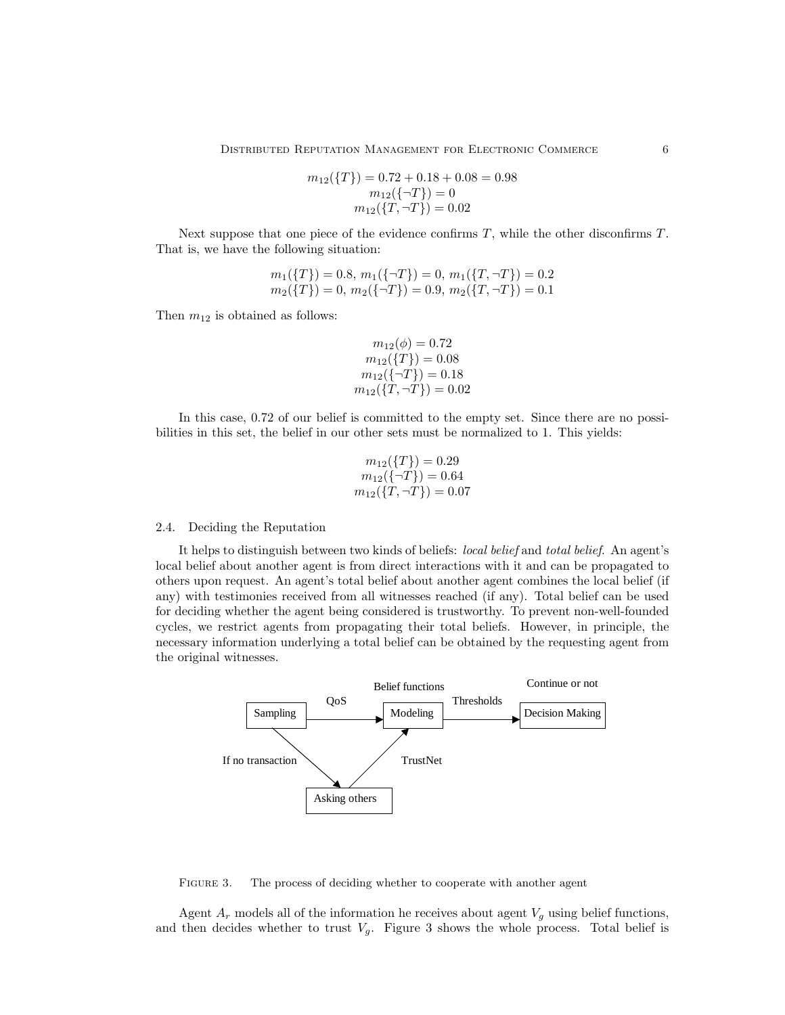$$
m_{12}(\lbrace T \rbrace) = 0.72 + 0.18 + 0.08 = 0.98
$$

$$
m_{12}(\lbrace \neg T \rbrace) = 0
$$

$$
m_{12}(\lbrace T, \neg T \rbrace) = 0.02
$$

Next suppose that one piece of the evidence confirms  $T$ , while the other disconfirms  $T$ . That is, we have the following situation:

$$
m_1({T}) = 0.8, m_1({\neg T}) = 0, m_1({T}, \neg T) = 0.2
$$
  

$$
m_2({T}) = 0, m_2({\neg T}) = 0.9, m_2({T}, \neg T) = 0.1
$$

Then  $m_{12}$  is obtained as follows:

$$
m_{12}(\phi) = 0.72
$$
  
\n
$$
m_{12}(\{T\}) = 0.08
$$
  
\n
$$
m_{12}(\{\neg T\}) = 0.18
$$
  
\n
$$
m_{12}(\{T, \neg T\}) = 0.02
$$

In this case, 0.72 of our belief is committed to the empty set. Since there are no possibilities in this set, the belief in our other sets must be normalized to 1. This yields:

$$
m_{12}(\lbrace T \rbrace) = 0.29
$$
  
\n
$$
m_{12}(\lbrace \neg T \rbrace) = 0.64
$$
  
\n
$$
m_{12}(\lbrace T, \neg T \rbrace) = 0.07
$$

## 2.4. Deciding the Reputation

It helps to distinguish between two kinds of beliefs: local belief and total belief. An agent's local belief about another agent is from direct interactions with it and can be propagated to others upon request. An agent's total belief about another agent combines the local belief (if any) with testimonies received from all witnesses reached (if any). Total belief can be used for deciding whether the agent being considered is trustworthy. To prevent non-well-founded cycles, we restrict agents from propagating their total beliefs. However, in principle, the necessary information underlying a total belief can be obtained by the requesting agent from the original witnesses.



FIGURE 3. The process of deciding whether to cooperate with another agent

Agent  $A_r$  models all of the information he receives about agent  $V_g$  using belief functions, and then decides whether to trust  $V_g$ . Figure 3 shows the whole process. Total belief is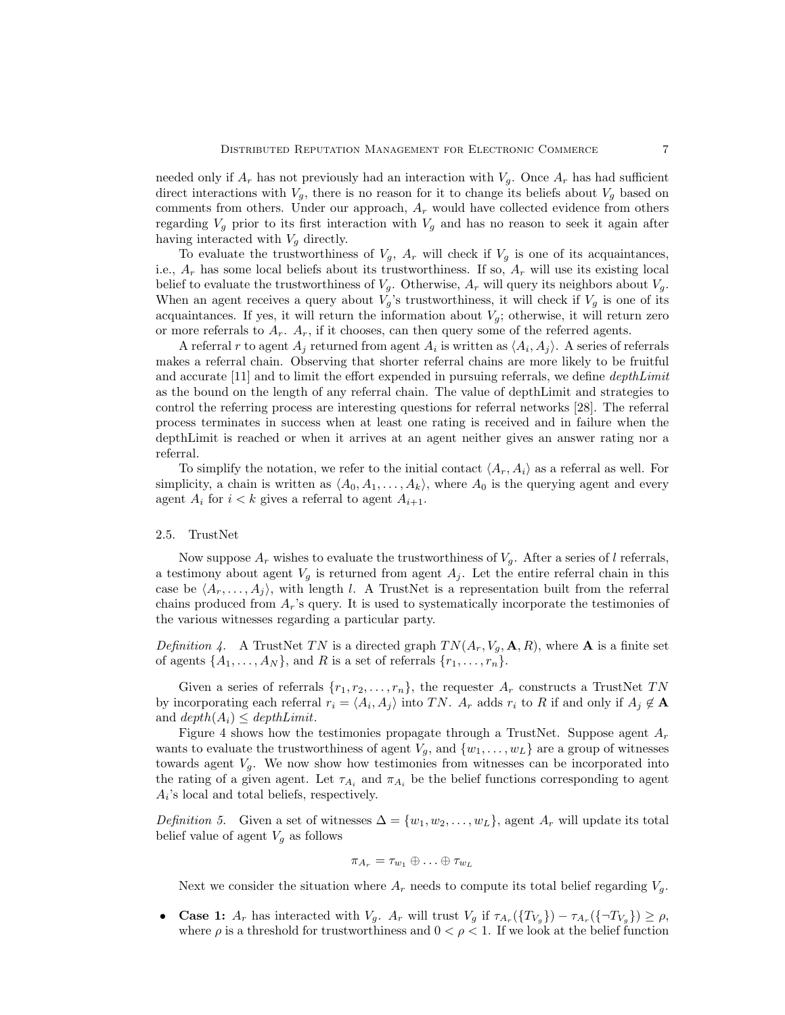needed only if  $A_r$  has not previously had an interaction with  $V_q$ . Once  $A_r$  has had sufficient direct interactions with  $V_q$ , there is no reason for it to change its beliefs about  $V_q$  based on comments from others. Under our approach,  $A_r$  would have collected evidence from others regarding  $V_g$  prior to its first interaction with  $V_g$  and has no reason to seek it again after having interacted with  $V_g$  directly.

To evaluate the trustworthiness of  $V_g$ ,  $A_r$  will check if  $V_g$  is one of its acquaintances, i.e.,  $A_r$  has some local beliefs about its trustworthiness. If so,  $A_r$  will use its existing local belief to evaluate the trustworthiness of  $V_g$ . Otherwise,  $A_r$  will query its neighbors about  $V_g$ . When an agent receives a query about  $V_g$ 's trustworthiness, it will check if  $V_g$  is one of its acquaintances. If yes, it will return the information about  $V_g$ ; otherwise, it will return zero or more referrals to  $A_r$ .  $A_r$ , if it chooses, can then query some of the referred agents.

A referral r to agent  $A_j$  returned from agent  $A_i$  is written as  $\langle A_i, A_j \rangle$ . A series of referrals makes a referral chain. Observing that shorter referral chains are more likely to be fruitful and accurate [11] and to limit the effort expended in pursuing referrals, we define *depthLimit* as the bound on the length of any referral chain. The value of depthLimit and strategies to control the referring process are interesting questions for referral networks [28]. The referral process terminates in success when at least one rating is received and in failure when the depthLimit is reached or when it arrives at an agent neither gives an answer rating nor a referral.

To simplify the notation, we refer to the initial contact  $\langle A_r, A_i \rangle$  as a referral as well. For simplicity, a chain is written as  $\langle A_0, A_1, \ldots, A_k \rangle$ , where  $A_0$  is the querying agent and every agent  $A_i$  for  $i < k$  gives a referral to agent  $A_{i+1}$ .

## 2.5. TrustNet

Now suppose  $A_r$  wishes to evaluate the trustworthiness of  $V_q$ . After a series of l referrals, a testimony about agent  $V_q$  is returned from agent  $A_j$ . Let the entire referral chain in this case be  $\langle A_r, \ldots, A_j \rangle$ , with length l. A TrustNet is a representation built from the referral chains produced from  $A_r$ 's query. It is used to systematically incorporate the testimonies of the various witnesses regarding a particular party.

Definition 4. A TrustNet TN is a directed graph  $TN(A_r, V_g, \mathbf{A}, R)$ , where **A** is a finite set of agents  $\{A_1, \ldots, A_N\}$ , and R is a set of referrals  $\{r_1, \ldots, r_n\}$ .

Given a series of referrals  $\{r_1, r_2, \ldots, r_n\}$ , the requester  $A_r$  constructs a TrustNet TN by incorporating each referral  $r_i = \langle A_i, A_j \rangle$  into TN.  $A_r$  adds  $r_i$  to R if and only if  $A_j \notin \mathbf{A}$ and  $depth(A_i) \leq depthLimit$ .

Figure 4 shows how the testimonies propagate through a TrustNet. Suppose agent  $A_r$ wants to evaluate the trustworthiness of agent  $V_q$ , and  $\{w_1, \ldots, w_L\}$  are a group of witnesses towards agent  $V_q$ . We now show how testimonies from witnesses can be incorporated into the rating of a given agent. Let  $\tau_{A_i}$  and  $\pi_{A_i}$  be the belief functions corresponding to agent  $A_i$ 's local and total beliefs, respectively.

Definition 5. Given a set of witnesses  $\Delta = \{w_1, w_2, \ldots, w_L\}$ , agent  $A_r$  will update its total belief value of agent  $V_g$  as follows

$$
\pi_{A_r} = \tau_{w_1} \oplus \ldots \oplus \tau_{w_L}
$$

Next we consider the situation where  $A_r$  needs to compute its total belief regarding  $V_q$ .

• Case 1:  $A_r$  has interacted with  $V_g$ .  $A_r$  will trust  $V_g$  if  $\tau_{A_r}(\lbrace T_{V_g} \rbrace) - \tau_{A_r}(\lbrace \neg T_{V_g} \rbrace) \ge \rho$ , where  $\rho$  is a threshold for trustworthiness and  $0 < \rho < 1$ . If we look at the belief function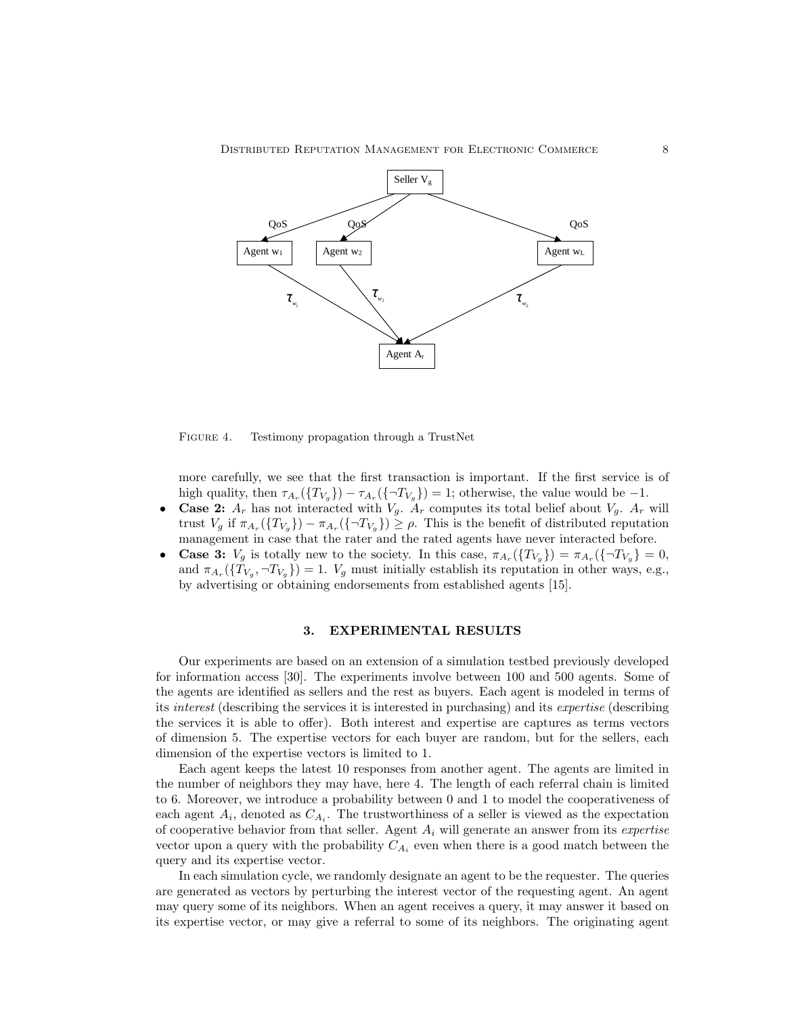

FIGURE 4. Testimony propagation through a TrustNet

more carefully, we see that the first transaction is important. If the first service is of high quality, then  $\tau_{A_r}(\{T_{V_g}\}) - \tau_{A_r}(\{\neg T_{V_g}\}) = 1$ ; otherwise, the value would be -1.

- **Case 2:**  $A_r$  has not interacted with  $V_g$ .  $A_r$  computes its total belief about  $V_g$ .  $A_r$  will trust  $V_g$  if  $\pi_{A_r}(\{T_{V_g}\}) - \pi_{A_r}(\{\neg T_{V_g}\}) \ge \rho$ . This is the benefit of distributed reputation management in case that the rater and the rated agents have never interacted before.
- Case 3:  $V_g$  is totally new to the society. In this case,  $\pi_{A_r}(\{T_{V_g}\}) = \pi_{A_r}(\{\neg T_{V_g}\}) = 0$ , and  $\pi_{A_r}(\{T_{V_g}, \neg T_{V_g}\}) = 1$ .  $V_g$  must initially establish its reputation in other ways, e.g., by advertising or obtaining endorsements from established agents [15].

#### 3. EXPERIMENTAL RESULTS

Our experiments are based on an extension of a simulation testbed previously developed for information access [30]. The experiments involve between 100 and 500 agents. Some of the agents are identified as sellers and the rest as buyers. Each agent is modeled in terms of its interest (describing the services it is interested in purchasing) and its expertise (describing the services it is able to offer). Both interest and expertise are captures as terms vectors of dimension 5. The expertise vectors for each buyer are random, but for the sellers, each dimension of the expertise vectors is limited to 1.

Each agent keeps the latest 10 responses from another agent. The agents are limited in the number of neighbors they may have, here 4. The length of each referral chain is limited to 6. Moreover, we introduce a probability between 0 and 1 to model the cooperativeness of each agent  $A_i$ , denoted as  $C_{A_i}$ . The trustworthiness of a seller is viewed as the expectation of cooperative behavior from that seller. Agent  $A_i$  will generate an answer from its *expertise* vector upon a query with the probability  $C_{A_i}$  even when there is a good match between the query and its expertise vector.

In each simulation cycle, we randomly designate an agent to be the requester. The queries are generated as vectors by perturbing the interest vector of the requesting agent. An agent may query some of its neighbors. When an agent receives a query, it may answer it based on its expertise vector, or may give a referral to some of its neighbors. The originating agent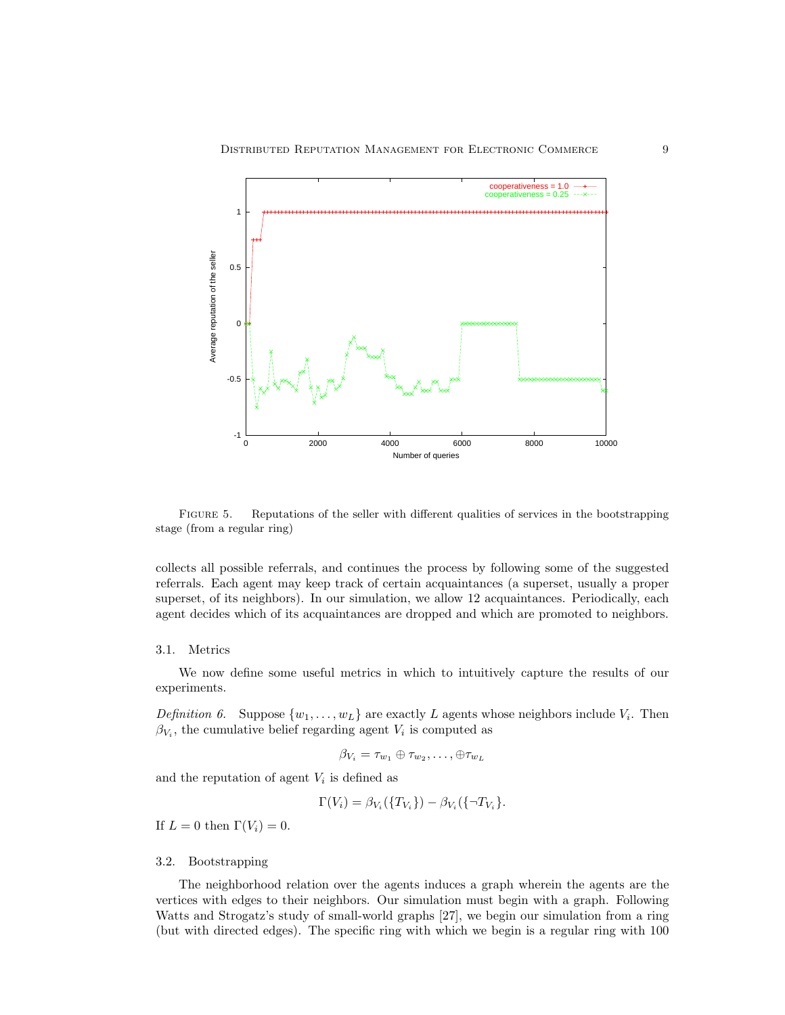

FIGURE 5. Reputations of the seller with different qualities of services in the bootstrapping stage (from a regular ring)

collects all possible referrals, and continues the process by following some of the suggested referrals. Each agent may keep track of certain acquaintances (a superset, usually a proper superset, of its neighbors). In our simulation, we allow 12 acquaintances. Periodically, each agent decides which of its acquaintances are dropped and which are promoted to neighbors.

## 3.1. Metrics

We now define some useful metrics in which to intuitively capture the results of our experiments.

Definition 6. Suppose  $\{w_1, \ldots, w_L\}$  are exactly L agents whose neighbors include  $V_i$ . Then  $\beta_{V_i}$ , the cumulative belief regarding agent  $V_i$  is computed as

$$
\beta_{V_i} = \tau_{w_1} \oplus \tau_{w_2}, \dots, \oplus \tau_{w_L}
$$

and the reputation of agent  $V_i$  is defined as

$$
\Gamma(V_i) = \beta_{V_i}(\{T_{V_i}\}) - \beta_{V_i}(\{\neg T_{V_i}\}.
$$

If  $L = 0$  then  $\Gamma(V_i) = 0$ .

# 3.2. Bootstrapping

The neighborhood relation over the agents induces a graph wherein the agents are the vertices with edges to their neighbors. Our simulation must begin with a graph. Following Watts and Strogatz's study of small-world graphs [27], we begin our simulation from a ring (but with directed edges). The specific ring with which we begin is a regular ring with 100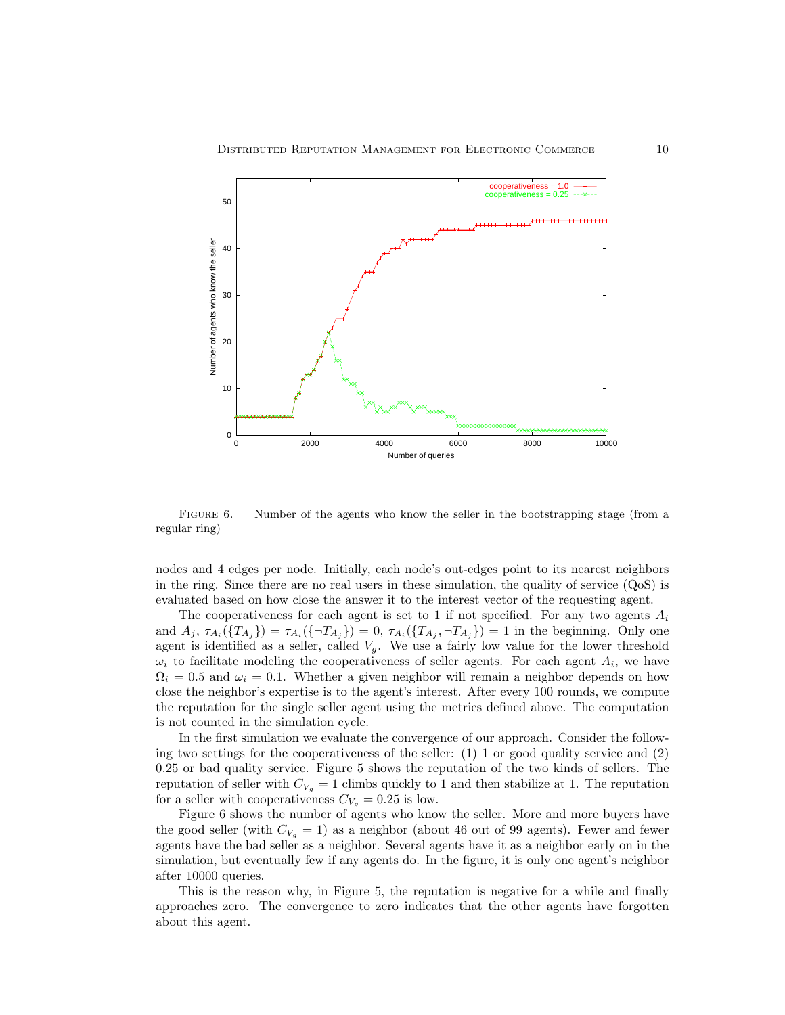

FIGURE 6. Number of the agents who know the seller in the bootstrapping stage (from a regular ring)

nodes and 4 edges per node. Initially, each node's out-edges point to its nearest neighbors in the ring. Since there are no real users in these simulation, the quality of service (QoS) is evaluated based on how close the answer it to the interest vector of the requesting agent.

The cooperativeness for each agent is set to 1 if not specified. For any two agents  $A_i$ and  $A_j$ ,  $\tau_{A_i}(\{T_{A_j}\}) = \tau_{A_i}(\{\tau_{A_j}\}) = 0$ ,  $\tau_{A_i}(\{T_{A_j}, \neg T_{A_j}\}) = 1$  in the beginning. Only one agent is identified as a seller, called  $V_g$ . We use a fairly low value for the lower threshold  $\omega_i$  to facilitate modeling the cooperativeness of seller agents. For each agent  $A_i$ , we have  $\Omega_i = 0.5$  and  $\omega_i = 0.1$ . Whether a given neighbor will remain a neighbor depends on how close the neighbor's expertise is to the agent's interest. After every 100 rounds, we compute the reputation for the single seller agent using the metrics defined above. The computation is not counted in the simulation cycle.

In the first simulation we evaluate the convergence of our approach. Consider the following two settings for the cooperativeness of the seller:  $(1)$  1 or good quality service and  $(2)$ 0.25 or bad quality service. Figure 5 shows the reputation of the two kinds of sellers. The reputation of seller with  $C_{V_g} = 1$  climbs quickly to 1 and then stabilize at 1. The reputation for a seller with cooperativeness  $C_{V_q} = 0.25$  is low.

Figure 6 shows the number of agents who know the seller. More and more buyers have the good seller (with  $C_{V_g} = 1$ ) as a neighbor (about 46 out of 99 agents). Fewer and fewer agents have the bad seller as a neighbor. Several agents have it as a neighbor early on in the simulation, but eventually few if any agents do. In the figure, it is only one agent's neighbor after 10000 queries.

This is the reason why, in Figure 5, the reputation is negative for a while and finally approaches zero. The convergence to zero indicates that the other agents have forgotten about this agent.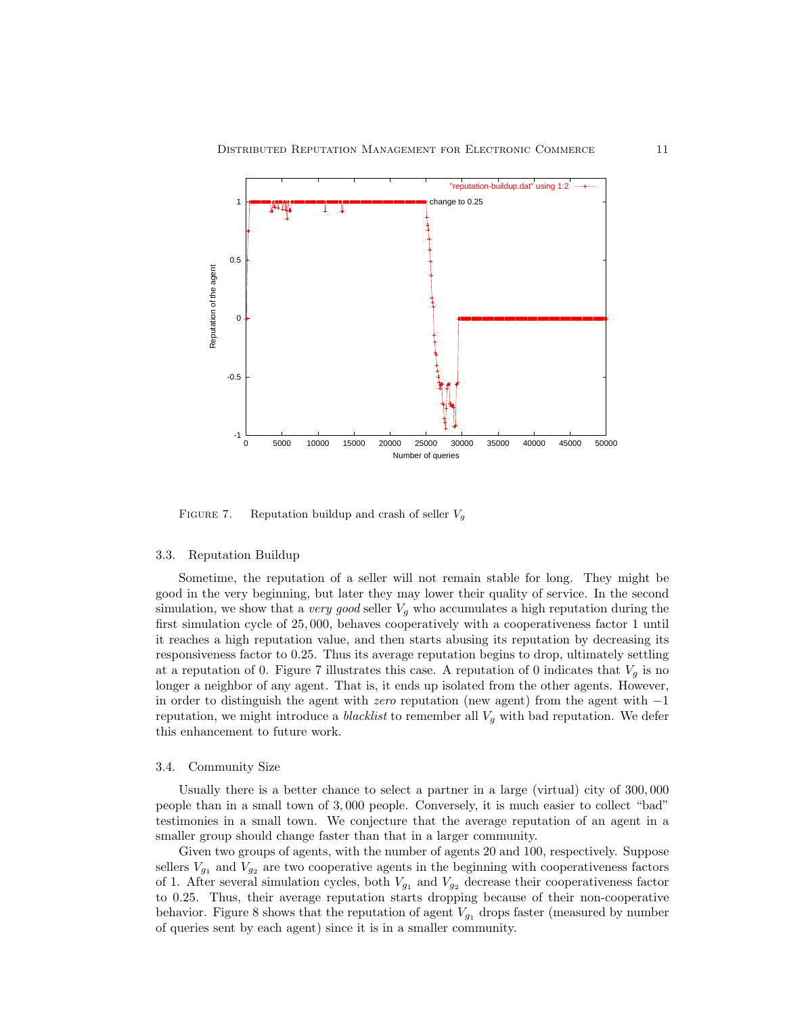

FIGURE 7. Reputation buildup and crash of seller  $V_g$ 

## 3.3. Reputation Buildup

Sometime, the reputation of a seller will not remain stable for long. They might be good in the very beginning, but later they may lower their quality of service. In the second simulation, we show that a *very good* seller  $V_g$  who accumulates a high reputation during the first simulation cycle of 25, 000, behaves cooperatively with a cooperativeness factor 1 until it reaches a high reputation value, and then starts abusing its reputation by decreasing its responsiveness factor to 0.25. Thus its average reputation begins to drop, ultimately settling at a reputation of 0. Figure 7 illustrates this case. A reputation of 0 indicates that  $V_q$  is no longer a neighbor of any agent. That is, it ends up isolated from the other agents. However, in order to distinguish the agent with *zero* reputation (new agent) from the agent with  $-1$ reputation, we might introduce a *blacklist* to remember all  $V<sub>q</sub>$  with bad reputation. We defer this enhancement to future work.

## 3.4. Community Size

Usually there is a better chance to select a partner in a large (virtual) city of 300, 000 people than in a small town of 3, 000 people. Conversely, it is much easier to collect "bad" testimonies in a small town. We conjecture that the average reputation of an agent in a smaller group should change faster than that in a larger community.

Given two groups of agents, with the number of agents 20 and 100, respectively. Suppose sellers  $V_{g_1}$  and  $V_{g_2}$  are two cooperative agents in the beginning with cooperativeness factors of 1. After several simulation cycles, both  $V_{g_1}$  and  $V_{g_2}$  decrease their cooperativeness factor to 0.25. Thus, their average reputation starts dropping because of their non-cooperative behavior. Figure 8 shows that the reputation of agent  $V_{q_1}$  drops faster (measured by number of queries sent by each agent) since it is in a smaller community.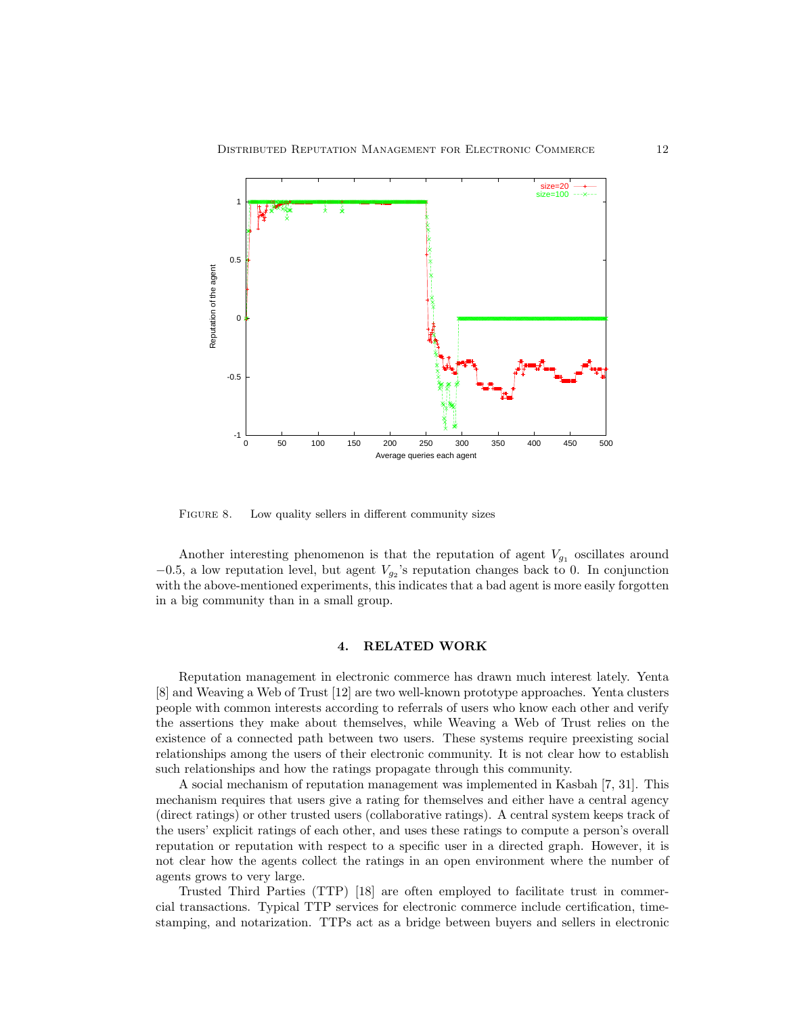

FIGURE 8. Low quality sellers in different community sizes

Another interesting phenomenon is that the reputation of agent  $V_{g_1}$  oscillates around  $-0.5$ , a low reputation level, but agent  $V_{g_2}$ 's reputation changes back to 0. In conjunction with the above-mentioned experiments, this indicates that a bad agent is more easily forgotten in a big community than in a small group.

#### 4. RELATED WORK

Reputation management in electronic commerce has drawn much interest lately. Yenta [8] and Weaving a Web of Trust [12] are two well-known prototype approaches. Yenta clusters people with common interests according to referrals of users who know each other and verify the assertions they make about themselves, while Weaving a Web of Trust relies on the existence of a connected path between two users. These systems require preexisting social relationships among the users of their electronic community. It is not clear how to establish such relationships and how the ratings propagate through this community.

A social mechanism of reputation management was implemented in Kasbah [7, 31]. This mechanism requires that users give a rating for themselves and either have a central agency (direct ratings) or other trusted users (collaborative ratings). A central system keeps track of the users' explicit ratings of each other, and uses these ratings to compute a person's overall reputation or reputation with respect to a specific user in a directed graph. However, it is not clear how the agents collect the ratings in an open environment where the number of agents grows to very large.

Trusted Third Parties (TTP) [18] are often employed to facilitate trust in commercial transactions. Typical TTP services for electronic commerce include certification, timestamping, and notarization. TTPs act as a bridge between buyers and sellers in electronic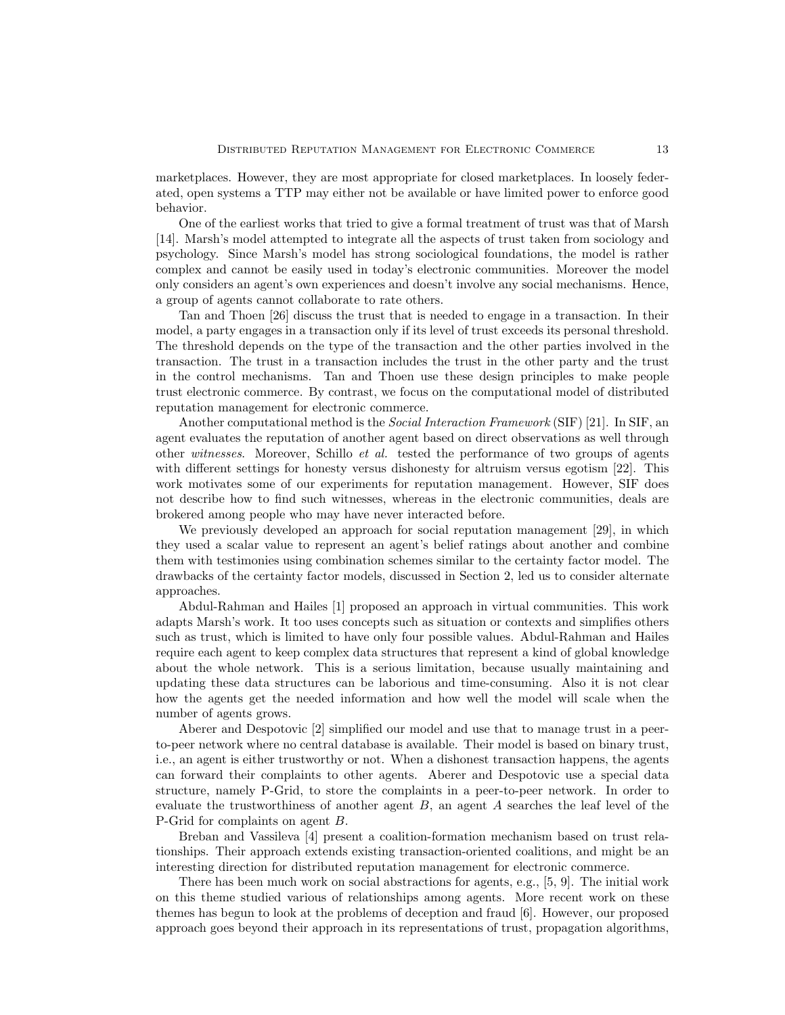marketplaces. However, they are most appropriate for closed marketplaces. In loosely federated, open systems a TTP may either not be available or have limited power to enforce good behavior.

One of the earliest works that tried to give a formal treatment of trust was that of Marsh [14]. Marsh's model attempted to integrate all the aspects of trust taken from sociology and psychology. Since Marsh's model has strong sociological foundations, the model is rather complex and cannot be easily used in today's electronic communities. Moreover the model only considers an agent's own experiences and doesn't involve any social mechanisms. Hence, a group of agents cannot collaborate to rate others.

Tan and Thoen [26] discuss the trust that is needed to engage in a transaction. In their model, a party engages in a transaction only if its level of trust exceeds its personal threshold. The threshold depends on the type of the transaction and the other parties involved in the transaction. The trust in a transaction includes the trust in the other party and the trust in the control mechanisms. Tan and Thoen use these design principles to make people trust electronic commerce. By contrast, we focus on the computational model of distributed reputation management for electronic commerce.

Another computational method is the Social Interaction Framework (SIF) [21]. In SIF, an agent evaluates the reputation of another agent based on direct observations as well through other witnesses. Moreover, Schillo et al. tested the performance of two groups of agents with different settings for honesty versus dishonesty for altruism versus egotism [22]. This work motivates some of our experiments for reputation management. However, SIF does not describe how to find such witnesses, whereas in the electronic communities, deals are brokered among people who may have never interacted before.

We previously developed an approach for social reputation management [29], in which they used a scalar value to represent an agent's belief ratings about another and combine them with testimonies using combination schemes similar to the certainty factor model. The drawbacks of the certainty factor models, discussed in Section 2, led us to consider alternate approaches.

Abdul-Rahman and Hailes [1] proposed an approach in virtual communities. This work adapts Marsh's work. It too uses concepts such as situation or contexts and simplifies others such as trust, which is limited to have only four possible values. Abdul-Rahman and Hailes require each agent to keep complex data structures that represent a kind of global knowledge about the whole network. This is a serious limitation, because usually maintaining and updating these data structures can be laborious and time-consuming. Also it is not clear how the agents get the needed information and how well the model will scale when the number of agents grows.

Aberer and Despotovic [2] simplified our model and use that to manage trust in a peerto-peer network where no central database is available. Their model is based on binary trust, i.e., an agent is either trustworthy or not. When a dishonest transaction happens, the agents can forward their complaints to other agents. Aberer and Despotovic use a special data structure, namely P-Grid, to store the complaints in a peer-to-peer network. In order to evaluate the trustworthiness of another agent  $B$ , an agent  $A$  searches the leaf level of the P-Grid for complaints on agent B.

Breban and Vassileva [4] present a coalition-formation mechanism based on trust relationships. Their approach extends existing transaction-oriented coalitions, and might be an interesting direction for distributed reputation management for electronic commerce.

There has been much work on social abstractions for agents, e.g., [5, 9]. The initial work on this theme studied various of relationships among agents. More recent work on these themes has begun to look at the problems of deception and fraud [6]. However, our proposed approach goes beyond their approach in its representations of trust, propagation algorithms,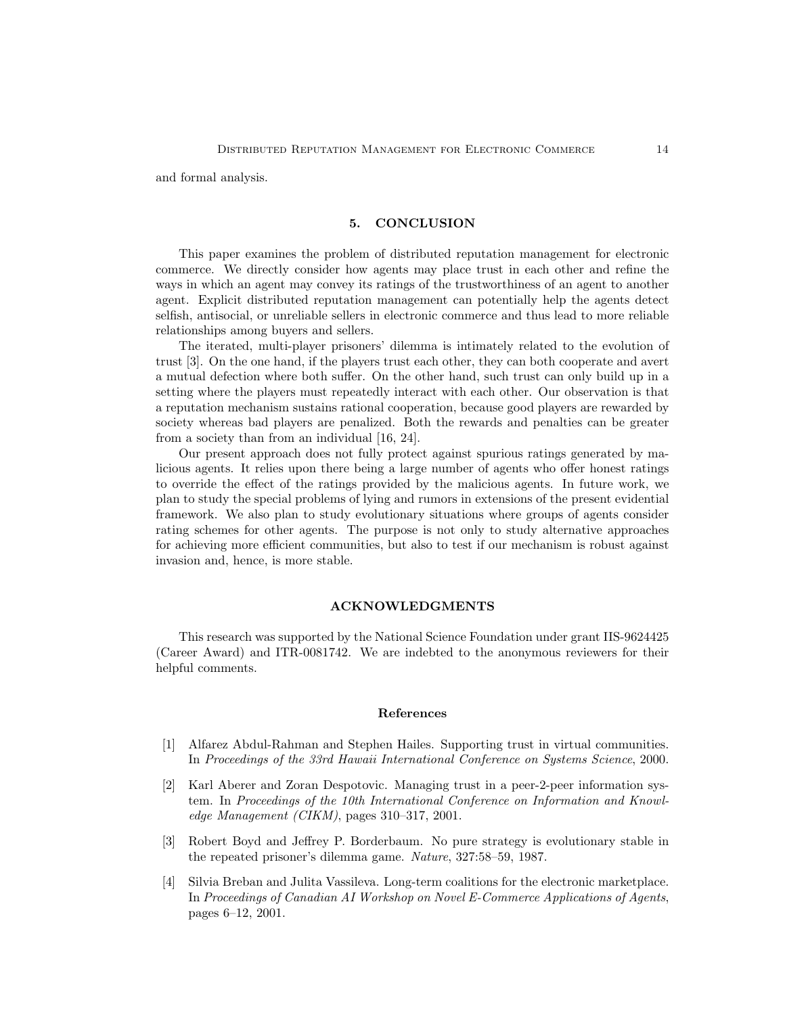and formal analysis.

#### 5. CONCLUSION

This paper examines the problem of distributed reputation management for electronic commerce. We directly consider how agents may place trust in each other and refine the ways in which an agent may convey its ratings of the trustworthiness of an agent to another agent. Explicit distributed reputation management can potentially help the agents detect selfish, antisocial, or unreliable sellers in electronic commerce and thus lead to more reliable relationships among buyers and sellers.

The iterated, multi-player prisoners' dilemma is intimately related to the evolution of trust [3]. On the one hand, if the players trust each other, they can both cooperate and avert a mutual defection where both suffer. On the other hand, such trust can only build up in a setting where the players must repeatedly interact with each other. Our observation is that a reputation mechanism sustains rational cooperation, because good players are rewarded by society whereas bad players are penalized. Both the rewards and penalties can be greater from a society than from an individual [16, 24].

Our present approach does not fully protect against spurious ratings generated by malicious agents. It relies upon there being a large number of agents who offer honest ratings to override the effect of the ratings provided by the malicious agents. In future work, we plan to study the special problems of lying and rumors in extensions of the present evidential framework. We also plan to study evolutionary situations where groups of agents consider rating schemes for other agents. The purpose is not only to study alternative approaches for achieving more efficient communities, but also to test if our mechanism is robust against invasion and, hence, is more stable.

## ACKNOWLEDGMENTS

This research was supported by the National Science Foundation under grant IIS-9624425 (Career Award) and ITR-0081742. We are indebted to the anonymous reviewers for their helpful comments.

#### References

- [1] Alfarez Abdul-Rahman and Stephen Hailes. Supporting trust in virtual communities. In Proceedings of the 33rd Hawaii International Conference on Systems Science, 2000.
- [2] Karl Aberer and Zoran Despotovic. Managing trust in a peer-2-peer information system. In Proceedings of the 10th International Conference on Information and Knowledge Management (CIKM), pages 310–317, 2001.
- [3] Robert Boyd and Jeffrey P. Borderbaum. No pure strategy is evolutionary stable in the repeated prisoner's dilemma game. Nature, 327:58–59, 1987.
- [4] Silvia Breban and Julita Vassileva. Long-term coalitions for the electronic marketplace. In Proceedings of Canadian AI Workshop on Novel E-Commerce Applications of Agents, pages 6–12, 2001.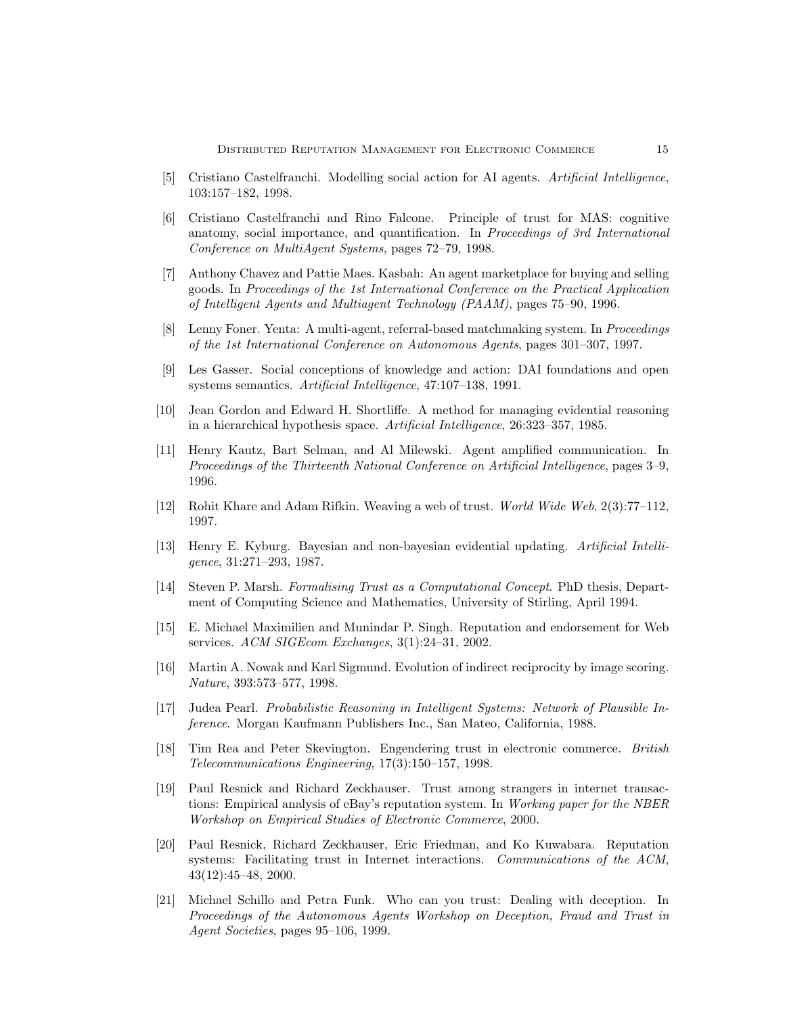- [5] Cristiano Castelfranchi. Modelling social action for AI agents. Artificial Intelligence, 103:157–182, 1998.
- [6] Cristiano Castelfranchi and Rino Falcone. Principle of trust for MAS: cognitive anatomy, social importance, and quantification. In Proceedings of 3rd International Conference on MultiAgent Systems, pages 72–79, 1998.
- [7] Anthony Chavez and Pattie Maes. Kasbah: An agent marketplace for buying and selling goods. In Proceedings of the 1st International Conference on the Practical Application of Intelligent Agents and Multiagent Technology (PAAM), pages 75–90, 1996.
- [8] Lenny Foner. Yenta: A multi-agent, referral-based matchmaking system. In Proceedings of the 1st International Conference on Autonomous Agents, pages 301–307, 1997.
- [9] Les Gasser. Social conceptions of knowledge and action: DAI foundations and open systems semantics. Artificial Intelligence, 47:107–138, 1991.
- [10] Jean Gordon and Edward H. Shortliffe. A method for managing evidential reasoning in a hierarchical hypothesis space. Artificial Intelligence, 26:323–357, 1985.
- [11] Henry Kautz, Bart Selman, and Al Milewski. Agent amplified communication. In Proceedings of the Thirteenth National Conference on Artificial Intelligence, pages 3–9, 1996.
- [12] Rohit Khare and Adam Rifkin. Weaving a web of trust. World Wide Web, 2(3):77–112, 1997.
- [13] Henry E. Kyburg. Bayesian and non-bayesian evidential updating. Artificial Intelligence, 31:271–293, 1987.
- [14] Steven P. Marsh. Formalising Trust as a Computational Concept. PhD thesis, Department of Computing Science and Mathematics, University of Stirling, April 1994.
- [15] E. Michael Maximilien and Munindar P. Singh. Reputation and endorsement for Web services. ACM SIGEcom Exchanges, 3(1):24–31, 2002.
- [16] Martin A. Nowak and Karl Sigmund. Evolution of indirect reciprocity by image scoring. Nature, 393:573–577, 1998.
- [17] Judea Pearl. Probabilistic Reasoning in Intelligent Systems: Network of Plausible Inference. Morgan Kaufmann Publishers Inc., San Mateo, California, 1988.
- [18] Tim Rea and Peter Skevington. Engendering trust in electronic commerce. British Telecommunications Engineering, 17(3):150–157, 1998.
- [19] Paul Resnick and Richard Zeckhauser. Trust among strangers in internet transactions: Empirical analysis of eBay's reputation system. In Working paper for the NBER Workshop on Empirical Studies of Electronic Commerce, 2000.
- [20] Paul Resnick, Richard Zeckhauser, Eric Friedman, and Ko Kuwabara. Reputation systems: Facilitating trust in Internet interactions. Communications of the ACM, 43(12):45–48, 2000.
- [21] Michael Schillo and Petra Funk. Who can you trust: Dealing with deception. In Proceedings of the Autonomous Agents Workshop on Deception, Fraud and Trust in Agent Societies, pages 95–106, 1999.